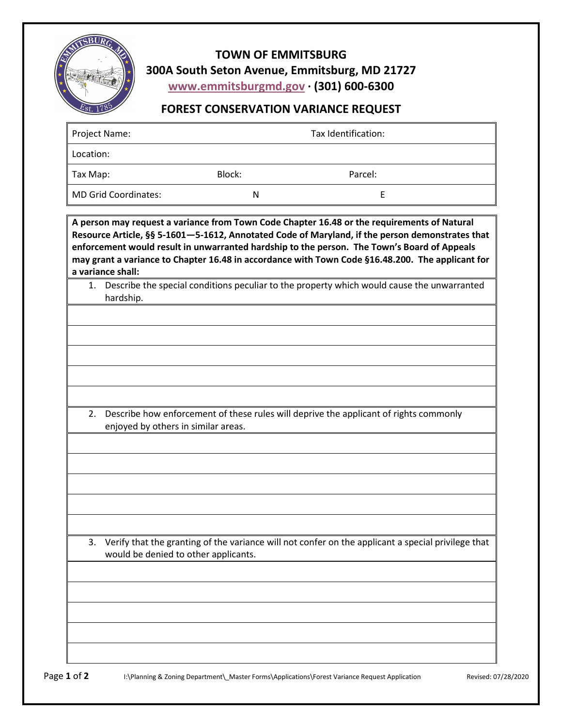

**TOWN OF EMMITSBURG 300A South Seton Avenue, Emmitsburg, MD 21727 www.emmitsburgmd.gov · (301) 600-6300**

## **FOREST CONSERVATION VARIANCE REQUEST**

| Project Name:                                                                                                                                                                                                                                                                                                                                                                                                          | Tax Identification:                                                                                                             |         |                                                                                                    |  |  |  |
|------------------------------------------------------------------------------------------------------------------------------------------------------------------------------------------------------------------------------------------------------------------------------------------------------------------------------------------------------------------------------------------------------------------------|---------------------------------------------------------------------------------------------------------------------------------|---------|----------------------------------------------------------------------------------------------------|--|--|--|
| Location:                                                                                                                                                                                                                                                                                                                                                                                                              |                                                                                                                                 |         |                                                                                                    |  |  |  |
| Tax Map:                                                                                                                                                                                                                                                                                                                                                                                                               | Block:                                                                                                                          | Parcel: |                                                                                                    |  |  |  |
| <b>MD Grid Coordinates:</b>                                                                                                                                                                                                                                                                                                                                                                                            | N                                                                                                                               |         | E                                                                                                  |  |  |  |
| A person may request a variance from Town Code Chapter 16.48 or the requirements of Natural<br>Resource Article, §§ 5-1601-5-1612, Annotated Code of Maryland, if the person demonstrates that<br>enforcement would result in unwarranted hardship to the person. The Town's Board of Appeals<br>may grant a variance to Chapter 16.48 in accordance with Town Code §16.48.200. The applicant for<br>a variance shall: |                                                                                                                                 |         |                                                                                                    |  |  |  |
| hardship.                                                                                                                                                                                                                                                                                                                                                                                                              |                                                                                                                                 |         | 1. Describe the special conditions peculiar to the property which would cause the unwarranted      |  |  |  |
|                                                                                                                                                                                                                                                                                                                                                                                                                        |                                                                                                                                 |         |                                                                                                    |  |  |  |
|                                                                                                                                                                                                                                                                                                                                                                                                                        |                                                                                                                                 |         |                                                                                                    |  |  |  |
|                                                                                                                                                                                                                                                                                                                                                                                                                        |                                                                                                                                 |         |                                                                                                    |  |  |  |
|                                                                                                                                                                                                                                                                                                                                                                                                                        |                                                                                                                                 |         |                                                                                                    |  |  |  |
|                                                                                                                                                                                                                                                                                                                                                                                                                        |                                                                                                                                 |         |                                                                                                    |  |  |  |
|                                                                                                                                                                                                                                                                                                                                                                                                                        | 2. Describe how enforcement of these rules will deprive the applicant of rights commonly<br>enjoyed by others in similar areas. |         |                                                                                                    |  |  |  |
|                                                                                                                                                                                                                                                                                                                                                                                                                        |                                                                                                                                 |         |                                                                                                    |  |  |  |
|                                                                                                                                                                                                                                                                                                                                                                                                                        |                                                                                                                                 |         |                                                                                                    |  |  |  |
|                                                                                                                                                                                                                                                                                                                                                                                                                        |                                                                                                                                 |         |                                                                                                    |  |  |  |
|                                                                                                                                                                                                                                                                                                                                                                                                                        |                                                                                                                                 |         |                                                                                                    |  |  |  |
|                                                                                                                                                                                                                                                                                                                                                                                                                        |                                                                                                                                 |         |                                                                                                    |  |  |  |
| 3.<br>would be denied to other applicants.                                                                                                                                                                                                                                                                                                                                                                             |                                                                                                                                 |         | Verify that the granting of the variance will not confer on the applicant a special privilege that |  |  |  |
|                                                                                                                                                                                                                                                                                                                                                                                                                        |                                                                                                                                 |         |                                                                                                    |  |  |  |
|                                                                                                                                                                                                                                                                                                                                                                                                                        |                                                                                                                                 |         |                                                                                                    |  |  |  |
|                                                                                                                                                                                                                                                                                                                                                                                                                        |                                                                                                                                 |         |                                                                                                    |  |  |  |
|                                                                                                                                                                                                                                                                                                                                                                                                                        |                                                                                                                                 |         |                                                                                                    |  |  |  |
|                                                                                                                                                                                                                                                                                                                                                                                                                        |                                                                                                                                 |         |                                                                                                    |  |  |  |